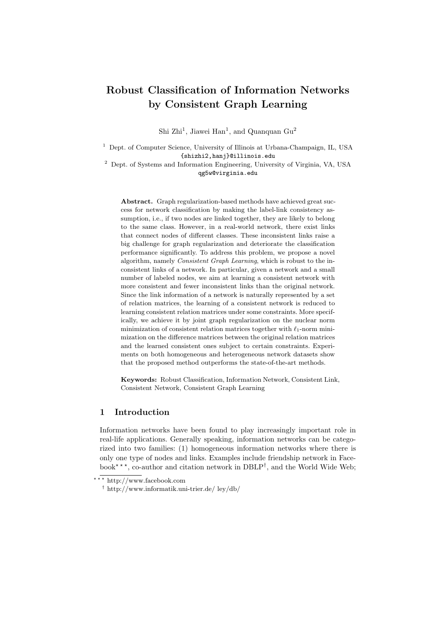# Robust Classification of Information Networks by Consistent Graph Learning

Shi Zhi<sup>1</sup>, Jiawei Han<sup>1</sup>, and Quanquan  $Gu<sup>2</sup>$ 

<sup>1</sup> Dept. of Computer Science, University of Illinois at Urbana-Champaign, IL, USA {shizhi2,hanj}@illinois.edu

<sup>2</sup> Dept. of Systems and Information Engineering, University of Virginia, VA, USA qg5w@virginia.edu

Abstract. Graph regularization-based methods have achieved great success for network classification by making the label-link consistency assumption, i.e., if two nodes are linked together, they are likely to belong to the same class. However, in a real-world network, there exist links that connect nodes of different classes. These inconsistent links raise a big challenge for graph regularization and deteriorate the classification performance significantly. To address this problem, we propose a novel algorithm, namely Consistent Graph Learning, which is robust to the inconsistent links of a network. In particular, given a network and a small number of labeled nodes, we aim at learning a consistent network with more consistent and fewer inconsistent links than the original network. Since the link information of a network is naturally represented by a set of relation matrices, the learning of a consistent network is reduced to learning consistent relation matrices under some constraints. More specifically, we achieve it by joint graph regularization on the nuclear norm minimization of consistent relation matrices together with  $\ell_1$ -norm minimization on the difference matrices between the original relation matrices and the learned consistent ones subject to certain constraints. Experiments on both homogeneous and heterogeneous network datasets show that the proposed method outperforms the state-of-the-art methods.

Keywords: Robust Classification, Information Network, Consistent Link, Consistent Network, Consistent Graph Learning

# 1 Introduction

Information networks have been found to play increasingly important role in real-life applications. Generally speaking, information networks can be categorized into two families: (1) homogeneous information networks where there is only one type of nodes and links. Examples include friendship network in Facebook<sup>\*\*\*</sup>, co-author and citation network in DBLP<sup>†</sup>, and the World Wide Web;

<sup>\*\*\*</sup> http://www.facebook.com

<sup>†</sup> http://www.informatik.uni-trier.de/ ley/db/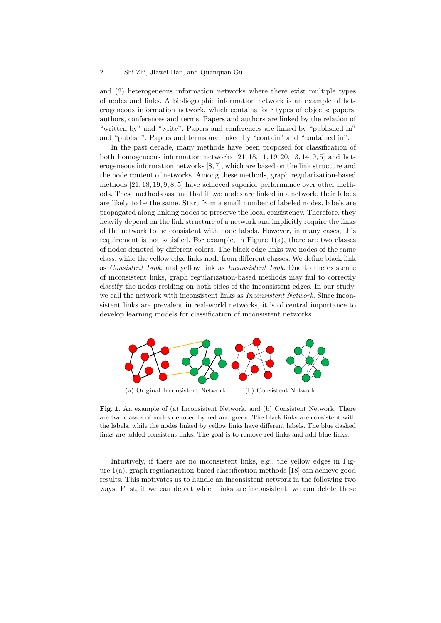and (2) heterogeneous information networks where there exist multiple types of nodes and links. A bibliographic information network is an example of heterogeneous information network, which contains four types of objects: papers, authors, conferences and terms. Papers and authors are linked by the relation of "written by" and "write". Papers and conferences are linked by "published in" and "publish". Papers and terms are linked by "contain" and "contained in".

In the past decade, many methods have been proposed for classification of both homogeneous information networks [21, 18, 11, 19, 20, 13, 14, 9, 5] and heterogeneous information networks [8, 7], which are based on the link structure and the node content of networks. Among these methods, graph regularization-based methods [21, 18, 19, 9, 8, 5] have achieved superior performance over other methods. These methods assume that if two nodes are linked in a network, their labels are likely to be the same. Start from a small number of labeled nodes, labels are propagated along linking nodes to preserve the local consistency. Therefore, they heavily depend on the link structure of a network and implicitly require the links of the network to be consistent with node labels. However, in many cases, this requirement is not satisfied. For example, in Figure 1(a), there are two classes of nodes denoted by different colors. The black edge links two nodes of the same class, while the yellow edge links node from different classes. We define black link as Consistent Link, and yellow link as Inconsistent Link. Due to the existence of inconsistent links, graph regularization-based methods may fail to correctly classify the nodes residing on both sides of the inconsistent edges. In our study, we call the network with inconsistent links as *Inconsistent Network*. Since inconsistent links are prevalent in real-world networks, it is of central importance to develop learning models for classification of inconsistent networks.



Fig. 1. An example of (a) Inconsistent Network, and (b) Consistent Network. There are two classes of nodes denoted by red and green. The black links are consistent with the labels, while the nodes linked by yellow links have different labels. The blue dashed links are added consistent links. The goal is to remove red links and add blue links.

Intuitively, if there are no inconsistent links, e.g., the yellow edges in Figure 1(a), graph regularization-based classification methods [18] can achieve good results. This motivates us to handle an inconsistent network in the following two ways. First, if we can detect which links are inconsistent, we can delete these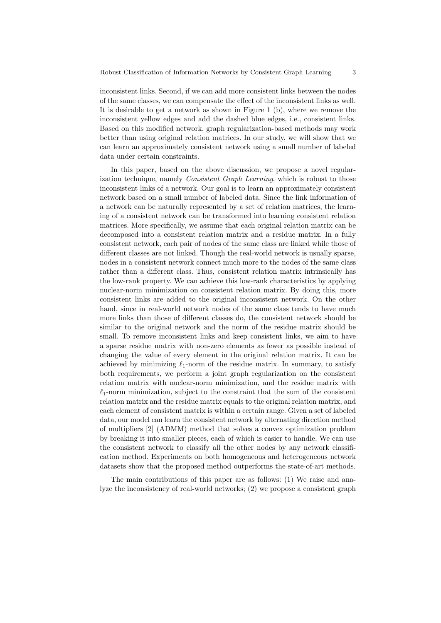inconsistent links. Second, if we can add more consistent links between the nodes of the same classes, we can compensate the effect of the inconsistent links as well. It is desirable to get a network as shown in Figure 1 (b), where we remove the inconsistent yellow edges and add the dashed blue edges, i.e., consistent links. Based on this modified network, graph regularization-based methods may work better than using original relation matrices. In our study, we will show that we can learn an approximately consistent network using a small number of labeled data under certain constraints.

In this paper, based on the above discussion, we propose a novel regularization technique, namely Consistent Graph Learning, which is robust to those inconsistent links of a network. Our goal is to learn an approximately consistent network based on a small number of labeled data. Since the link information of a network can be naturally represented by a set of relation matrices, the learning of a consistent network can be transformed into learning consistent relation matrices. More specifically, we assume that each original relation matrix can be decomposed into a consistent relation matrix and a residue matrix. In a fully consistent network, each pair of nodes of the same class are linked while those of different classes are not linked. Though the real-world network is usually sparse, nodes in a consistent network connect much more to the nodes of the same class rather than a different class. Thus, consistent relation matrix intrinsically has the low-rank property. We can achieve this low-rank characteristics by applying nuclear-norm minimization on consistent relation matrix. By doing this, more consistent links are added to the original inconsistent network. On the other hand, since in real-world network nodes of the same class tends to have much more links than those of different classes do, the consistent network should be similar to the original network and the norm of the residue matrix should be small. To remove inconsistent links and keep consistent links, we aim to have a sparse residue matrix with non-zero elements as fewer as possible instead of changing the value of every element in the original relation matrix. It can be achieved by minimizing  $\ell_1$ -norm of the residue matrix. In summary, to satisfy both requirements, we perform a joint graph regularization on the consistent relation matrix with nuclear-norm minimization, and the residue matrix with  $\ell_1$ -norm minimization, subject to the constraint that the sum of the consistent relation matrix and the residue matrix equals to the original relation matrix, and each element of consistent matrix is within a certain range. Given a set of labeled data, our model can learn the consistent network by alternating direction method of multipliers [2] (ADMM) method that solves a convex optimization problem by breaking it into smaller pieces, each of which is easier to handle. We can use the consistent network to classify all the other nodes by any network classification method. Experiments on both homogeneous and heterogeneous network datasets show that the proposed method outperforms the state-of-art methods.

The main contributions of this paper are as follows: (1) We raise and analyze the inconsistency of real-world networks; (2) we propose a consistent graph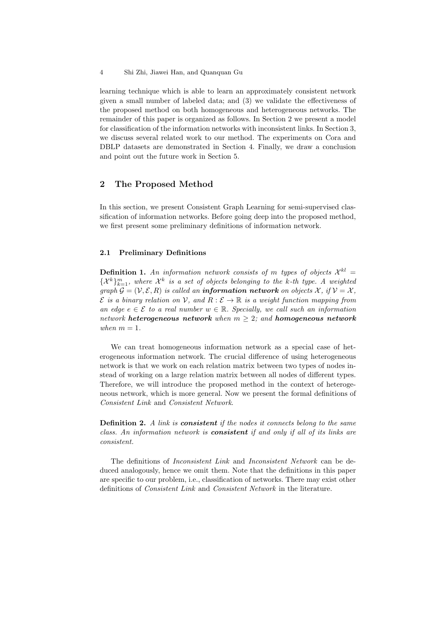learning technique which is able to learn an approximately consistent network given a small number of labeled data; and (3) we validate the effectiveness of the proposed method on both homogeneous and heterogeneous networks. The remainder of this paper is organized as follows. In Section 2 we present a model for classification of the information networks with inconsistent links. In Section 3, we discuss several related work to our method. The experiments on Cora and DBLP datasets are demonstrated in Section 4. Finally, we draw a conclusion and point out the future work in Section 5.

# 2 The Proposed Method

In this section, we present Consistent Graph Learning for semi-supervised classification of information networks. Before going deep into the proposed method, we first present some preliminary definitions of information network.

#### 2.1 Preliminary Definitions

**Definition 1.** An information network consists of m types of objects  $\mathcal{X}^{kl} =$  $\{\mathcal{X}^k\}_{k=1}^m$ , where  $\mathcal{X}^k$  is a set of objects belonging to the k-th type. A weighted graph  $\mathcal{G} = (\mathcal{V}, \mathcal{E}, R)$  is called an **information network** on objects X, if  $\mathcal{V} = \mathcal{X}$ ,  $\mathcal E$  is a binary relation on V, and  $R : \mathcal E \to \mathbb R$  is a weight function mapping from an edge  $e \in \mathcal{E}$  to a real number  $w \in \mathbb{R}$ . Specially, we call such an information network heterogeneous network when  $m \geq 2$ ; and homogeneous network when  $m = 1$ .

We can treat homogeneous information network as a special case of heterogeneous information network. The crucial difference of using heterogeneous network is that we work on each relation matrix between two types of nodes instead of working on a large relation matrix between all nodes of different types. Therefore, we will introduce the proposed method in the context of heterogeneous network, which is more general. Now we present the formal definitions of Consistent Link and Consistent Network.

**Definition 2.** A link is **consistent** if the nodes it connects belong to the same class. An information network is consistent if and only if all of its links are consistent.

The definitions of Inconsistent Link and Inconsistent Network can be deduced analogously, hence we omit them. Note that the definitions in this paper are specific to our problem, i.e., classification of networks. There may exist other definitions of Consistent Link and Consistent Network in the literature.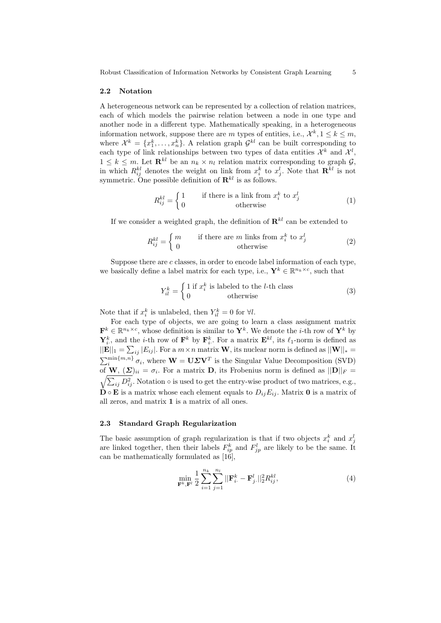Robust Classification of Information Networks by Consistent Graph Learning 5

#### 2.2 Notation

A heterogeneous network can be represented by a collection of relation matrices, each of which models the pairwise relation between a node in one type and another node in a different type. Mathematically speaking, in a heterogeneous information network, suppose there are m types of entities, i.e.,  $\mathcal{X}^k, 1 \leq k \leq m$ , where  $\mathcal{X}^k = \{x_1^k, \ldots, x_n^k\}$ . A relation graph  $\mathcal{G}^{kl}$  can be built corresponding to each type of link relationships between two types of data entities  $\mathcal{X}^k$  and  $\mathcal{X}^l$ ,  $1 \leq k \leq m$ . Let  $\mathbf{R}^{kl}$  be an  $n_k \times n_l$  relation matrix corresponding to graph  $\mathcal{G},$ in which  $R_{ij}^{kl}$  denotes the weight on link from  $x_i^k$  to  $x_j^l$ . Note that  $\mathbf{R}^{kl}$  is not symmetric. One possible definition of  $\mathbf{R}^{kl}$  is as follows.

$$
R_{ij}^{kl} = \begin{cases} 1 & \text{if there is a link from } x_i^k \text{ to } x_j^l \\ 0 & \text{otherwise} \end{cases}
$$
 (1)

If we consider a weighted graph, the definition of  $\mathbf{R}^{kl}$  can be extended to

$$
R_{ij}^{kl} = \begin{cases} m & \text{if there are } m \text{ links from } x_i^k \text{ to } x_j^l \\ 0 & \text{otherwise} \end{cases}
$$
 (2)

Suppose there are  $c$  classes, in order to encode label information of each type, we basically define a label matrix for each type, i.e.,  $\mathbf{Y}^k \in \mathbb{R}^{n_k \times c}$ , such that

$$
Y_{il}^{k} = \begin{cases} 1 \text{ if } x_{i}^{k} \text{ is labeled to the } l\text{-th class} \\ 0 \text{ otherwise} \end{cases}
$$
 (3)

Note that if  $x_i^k$  is unlabeled, then  $Y_{il}^k = 0$  for  $\forall l$ .

For each type of objects, we are going to learn a class assignment matrix  $\mathbf{F}^k \in \mathbb{R}^{n_k \times c}$ , whose definition is similar to  $\mathbf{Y}^k$ . We denote the *i*-th row of  $\mathbf{Y}^k$  by  $\mathbf{Y}_i^k$ , and the *i*-th row of  $\mathbf{F}^k$  by  $\mathbf{F}_i^k$ . For a matrix  $\mathbf{E}^{kl}$ , its  $\ell_1$ -norm is defined as  $||\mathbf{E}||_1 = \sum_{ij} |E_{ij}|$ . For a  $m \times n$  matrix **W**, its nuclear norm is defined as  $||\mathbf{W}||_* =$  $\sum_{i}^{\min\{m,n\}} \sigma_i$ , where  $\mathbf{W} = \mathbf{U} \Sigma \mathbf{V}^T$  is the Singular Value Decomposition (SVD) of **W**,  $(\boldsymbol{\Sigma})_{ii} = \sigma_i$ . For a matrix **D**, its Frobenius norm is defined as  $||\mathbf{D}||_F =$  $\sqrt{\sum_{ij} D_{ij}^2}$ . Notation  $\circ$  is used to get the entry-wise product of two matrices, e.g.,  $\mathbf{\dot{D}} \circ \mathbf{E}$  is a matrix whose each element equals to  $D_{ij}E_{ij}$ . Matrix **0** is a matrix of all zeros, and matrix 1 is a matrix of all ones.

#### 2.3 Standard Graph Regularization

The basic assumption of graph regularization is that if two objects  $x_i^k$  and  $x_j^l$ are linked together, then their labels  $F_{ip}^k$  and  $F_{jp}^l$  are likely to be the same. It can be mathematically formulated as  $[16]$ ,

$$
\min_{\mathbf{F}^k, \mathbf{F}^l} \frac{1}{2} \sum_{i=1}^{n_k} \sum_{j=1}^{n_l} ||\mathbf{F}_i^k - \mathbf{F}_j^l||_2^2 R_{ij}^{kl},\tag{4}
$$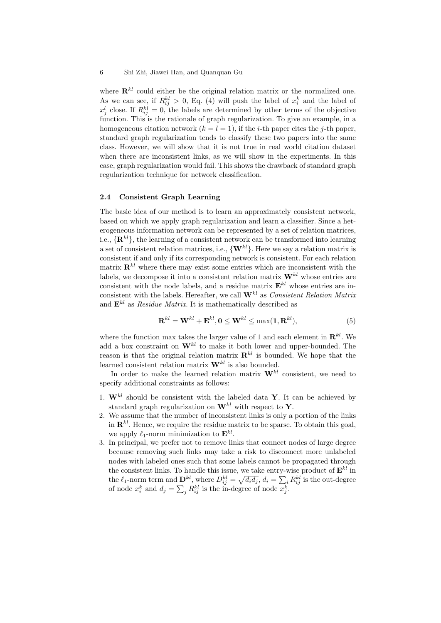where  $\mathbf{R}^{kl}$  could either be the original relation matrix or the normalized one. As we can see, if  $R_{ij}^{kl} > 0$ , Eq. (4) will push the label of  $x_i^k$  and the label of  $x_j^l$  close. If  $R_{ij}^{kl} = 0$ , the labels are determined by other terms of the objective function. This is the rationale of graph regularization. To give an example, in a homogeneous citation network  $(k = l = 1)$ , if the *i*-th paper cites the *j*-th paper, standard graph regularization tends to classify these two papers into the same class. However, we will show that it is not true in real world citation dataset when there are inconsistent links, as we will show in the experiments. In this case, graph regularization would fail. This shows the drawback of standard graph regularization technique for network classification.

#### 2.4 Consistent Graph Learning

The basic idea of our method is to learn an approximately consistent network, based on which we apply graph regularization and learn a classifier. Since a heterogeneous information network can be represented by a set of relation matrices, i.e.,  $\{\mathbf{R}^{kl}\}\text{, the learning of a consistent network can be transformed into learning.}$ a set of consistent relation matrices, i.e.,  $\{W^{kl}\}\$ . Here we say a relation matrix is consistent if and only if its corresponding network is consistent. For each relation matrix  $\mathbf{R}^{kl}$  where there may exist some entries which are inconsistent with the labels, we decompose it into a consistent relation matrix  $\mathbf{W}^{kl}$  whose entries are consistent with the node labels, and a residue matrix  $\mathbf{E}^{kl}$  whose entries are inconsistent with the labels. Hereafter, we call  $\mathbf{W}^{kl}$  as Consistent Relation Matrix and  $\mathbf{E}^{kl}$  as *Residue Matrix*. It is mathematically described as

$$
\mathbf{R}^{kl} = \mathbf{W}^{kl} + \mathbf{E}^{kl}, \mathbf{0} \le \mathbf{W}^{kl} \le \max(\mathbf{1}, \mathbf{R}^{kl}),
$$
\n<sup>(5)</sup>

where the function max takes the larger value of 1 and each element in  $\mathbf{R}^{kl}$ . We add a box constraint on  $\mathbf{W}^{kl}$  to make it both lower and upper-bounded. The reason is that the original relation matrix  $\mathbf{R}^{kl}$  is bounded. We hope that the learned consistent relation matrix  $\mathbf{W}^{kl}$  is also bounded.

In order to make the learned relation matrix  $\mathbf{W}^{kl}$  consistent, we need to specify additional constraints as follows:

- 1.  $\mathbf{W}^{kl}$  should be consistent with the labeled data Y. It can be achieved by standard graph regularization on  $\mathbf{W}^{kl}$  with respect to Y.
- 2. We assume that the number of inconsistent links is only a portion of the links in  $\mathbf{R}^{kl}$ . Hence, we require the residue matrix to be sparse. To obtain this goal, we apply  $\ell_1$ -norm minimization to  $\mathbf{E}^{kl}$ .
- 3. In principal, we prefer not to remove links that connect nodes of large degree because removing such links may take a risk to disconnect more unlabeled nodes with labeled ones such that some labels cannot be propagated through the consistent links. To handle this issue, we take entry-wise product of  $\mathbf{E}^{kl}$  in the  $\ell_1$ -norm term and  $\mathbf{D}^{kl}$ , where  $D_{ij}^{kl} = \sqrt{d_i d_j}$ ,  $d_i = \sum_i R_{ij}^{kl}$  is the out-degree of node  $x_i^k$  and  $d_j = \sum_j R_{ij}^{kl}$  is the in-degree of node  $x_j^k$ .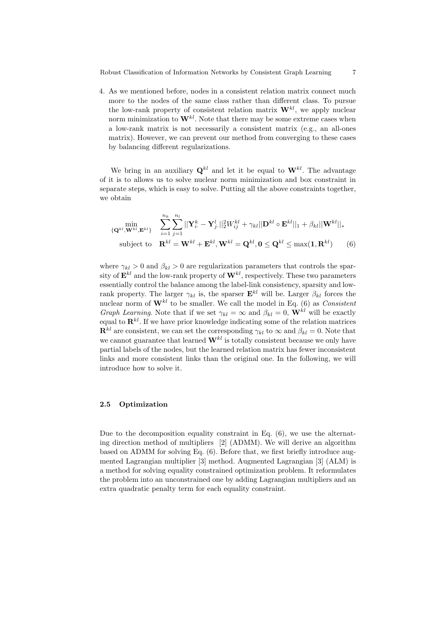4. As we mentioned before, nodes in a consistent relation matrix connect much more to the nodes of the same class rather than different class. To pursue the low-rank property of consistent relation matrix  $\mathbf{W}^{kl}$ , we apply nuclear norm minimization to  $\mathbf{W}^{kl}$ . Note that there may be some extreme cases when a low-rank matrix is not necessarily a consistent matrix (e.g., an all-ones matrix). However, we can prevent our method from converging to these cases by balancing different regularizations.

We bring in an auxiliary  $\mathbf{Q}^{kl}$  and let it be equal to  $\mathbf{W}^{kl}$ . The advantage of it is to allows us to solve nuclear norm minimization and box constraint in separate steps, which is easy to solve. Putting all the above constraints together, we obtain

$$
\{\mathbf{Q}^{kl}, \mathbf{W}^{kl}, \mathbf{E}^{kl}\} \quad \sum_{i=1}^{n_k} \sum_{j=1}^{n_l} ||\mathbf{Y}_i^k - \mathbf{Y}_j^l||_2^2 W_{ij}^{kl} + \gamma_{kl} ||\mathbf{D}^{kl} \circ \mathbf{E}^{kl}||_1 + \beta_{kl} ||\mathbf{W}^{kl}||_*
$$
\nsubject to\n
$$
\mathbf{R}^{kl} = \mathbf{W}^{kl} + \mathbf{E}^{kl}, \mathbf{W}^{kl} = \mathbf{Q}^{kl}, \mathbf{0} \leq \mathbf{Q}^{kl} \leq \max(\mathbf{1}, \mathbf{R}^{kl})
$$
\n(6)

where  $\gamma_{kl} > 0$  and  $\beta_{kl} > 0$  are regularization parameters that controls the sparsity of  $\mathbf{E}^{kl}$  and the low-rank property of  $\mathbf{W}^{kl}$ , respectively. These two parameters essentially control the balance among the label-link consistency, sparsity and lowrank property. The larger  $\gamma_{kl}$  is, the sparser  $\mathbf{E}^{kl}$  will be. Larger  $\beta_{kl}$  forces the nuclear norm of  $W^{kl}$  to be smaller. We call the model in Eq. (6) as *Consistent* Graph Learning. Note that if we set  $\gamma_{kl} = \infty$  and  $\beta_{kl} = 0$ ,  $\mathbf{W}^{kl}$  will be exactly equal to  $\mathbf{R}^{kl}$ . If we have prior knowledge indicating some of the relation matrices  $\mathbf{R}^{kl}$  are consistent, we can set the corresponding  $\gamma_{kl}$  to  $\infty$  and  $\beta_{kl} = 0$ . Note that we cannot guarantee that learned  $\mathbf{W}^{kl}$  is totally consistent because we only have partial labels of the nodes, but the learned relation matrix has fewer inconsistent links and more consistent links than the original one. In the following, we will introduce how to solve it.

#### 2.5 Optimization

Due to the decomposition equality constraint in Eq. (6), we use the alternating direction method of multipliers [2] (ADMM). We will derive an algorithm based on ADMM for solving Eq. (6). Before that, we first briefly introduce augmented Lagrangian multiplier [3] method. Augmented Lagrangian [3] (ALM) is a method for solving equality constrained optimization problem. It reformulates the problem into an unconstrained one by adding Lagrangian multipliers and an extra quadratic penalty term for each equality constraint.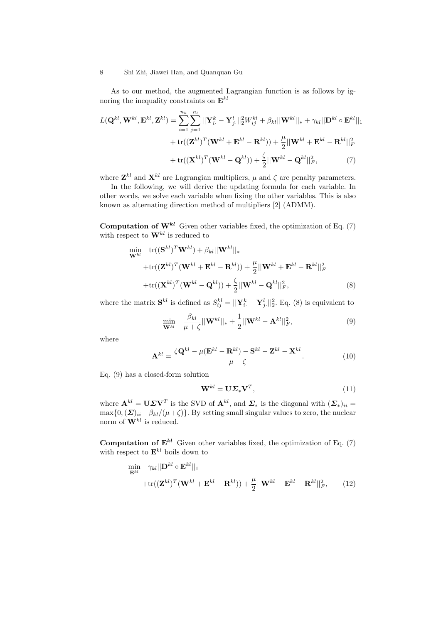As to our method, the augmented Lagrangian function is as follows by ignoring the inequality constraints on  $\mathbf{E}^{kl}$ 

$$
L(\mathbf{Q}^{kl}, \mathbf{W}^{kl}, \mathbf{E}^{kl}, \mathbf{Z}^{kl}) = \sum_{i=1}^{n_k} \sum_{j=1}^{n_l} ||\mathbf{Y}_i^k - \mathbf{Y}_j^l||_2^2 W_{ij}^{kl} + \beta_{kl} ||\mathbf{W}^{kl}||_* + \gamma_{kl} ||\mathbf{D}^{kl} \circ \mathbf{E}^{kl}||_1
$$

$$
+ tr((\mathbf{Z}^{kl})^T (\mathbf{W}^{kl} + \mathbf{E}^{kl} - \mathbf{R}^{kl})) + \frac{\mu}{2} ||\mathbf{W}^{kl} + \mathbf{E}^{kl} - \mathbf{R}^{kl}||_F^2
$$

$$
+ tr((\mathbf{X}^{kl})^T (\mathbf{W}^{kl} - \mathbf{Q}^{kl})) + \frac{\zeta}{2} ||\mathbf{W}^{kl} - \mathbf{Q}^{kl}||_F^2, \tag{7}
$$

where  $\mathbf{Z}^{kl}$  and  $\mathbf{X}^{kl}$  are Lagrangian multipliers,  $\mu$  and  $\zeta$  are penalty parameters.

In the following, we will derive the updating formula for each variable. In other words, we solve each variable when fixing the other variables. This is also known as alternating direction method of multipliers [2] (ADMM).

**Computation of**  $W^{kl}$  Given other variables fixed, the optimization of Eq. (7) with respect to  $\mathbf{W}^{kl}$  is reduced to

$$
\begin{split} \min_{\mathbf{W}^{kl}} \quad & \text{tr}((\mathbf{S}^{kl})^T \mathbf{W}^{kl}) + \beta_{kl} ||\mathbf{W}^{kl}||_* \\ & + \text{tr}((\mathbf{Z}^{kl})^T (\mathbf{W}^{kl} + \mathbf{E}^{kl} - \mathbf{R}^{kl})) + \frac{\mu}{2} ||\mathbf{W}^{kl} + \mathbf{E}^{kl} - \mathbf{R}^{kl}||_F^2 \\ & + \text{tr}((\mathbf{X}^{kl})^T (\mathbf{W}^{kl} - \mathbf{Q}^{kl})) + \frac{\zeta}{2} ||\mathbf{W}^{kl} - \mathbf{Q}^{kl}||_F^2, \end{split} \tag{8}
$$

where the matrix  $S^{kl}$  is defined as  $S^{kl}_{ij} = ||\mathbf{Y}_i^k - \mathbf{Y}_j^l||_2^2$ . Eq. (8) is equivalent to

$$
\min_{\mathbf{W}^{kl}} \quad \frac{\beta_{kl}}{\mu + \zeta} ||\mathbf{W}^{kl}||_* + \frac{1}{2} ||\mathbf{W}^{kl} - \mathbf{A}^{kl}||_F^2, \tag{9}
$$

where

$$
\mathbf{A}^{kl} = \frac{\zeta \mathbf{Q}^{kl} - \mu (\mathbf{E}^{kl} - \mathbf{R}^{kl}) - \mathbf{S}^{kl} - \mathbf{Z}^{kl} - \mathbf{X}^{kl}}{\mu + \zeta}.
$$
 (10)

Eq. (9) has a closed-form solution

$$
\mathbf{W}^{kl} = \mathbf{U} \Sigma_* \mathbf{V}^T, \tag{11}
$$

where  $\mathbf{A}^{kl} = \mathbf{U} \Sigma \mathbf{V}^T$  is the SVD of  $\mathbf{A}^{kl}$ , and  $\Sigma_*$  is the diagonal with  $(\Sigma_*)_{ii} =$  $\max\{0, (\Sigma)_{ii} - \beta_{kl}/(\mu + \zeta)\}\.$  By setting small singular values to zero, the nuclear norm of  $\mathbf{W}^{kl}$  is reduced.

**Computation of**  $E^{kl}$  Given other variables fixed, the optimization of Eq. (7) with respect to  $\mathbf{E}^{kl}$  boils down to

$$
\min_{\mathbf{E}^{kl}} \gamma_{kl} ||\mathbf{D}^{kl} \circ \mathbf{E}^{kl}||_1
$$
  
 
$$
+ \text{tr}((\mathbf{Z}^{kl})^T (\mathbf{W}^{kl} + \mathbf{E}^{kl} - \mathbf{R}^{kl})) + \frac{\mu}{2} ||\mathbf{W}^{kl} + \mathbf{E}^{kl} - \mathbf{R}^{kl}||_F^2, \qquad (12)
$$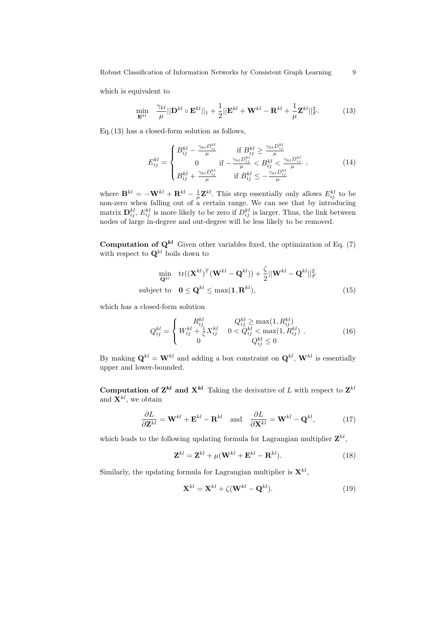Robust Classification of Information Networks by Consistent Graph Learning 9

which is equivalent to

$$
\min_{\mathbf{E}^{kl}} \quad \frac{\gamma_{kl}}{\mu} ||\mathbf{D}^{kl} \circ \mathbf{E}^{kl}||_1 + \frac{1}{2} ||\mathbf{E}^{kl} + \mathbf{W}^{kl} - \mathbf{R}^{kl} + \frac{1}{\mu} \mathbf{Z}^{kl}||_F^2. \tag{13}
$$

Eq.(13) has a closed-form solution as follows,

$$
E_{ij}^{kl} = \begin{cases} B_{ij}^{kl} - \frac{\gamma_{kl} D_{ij}^{kl}}{\mu} & \text{if } B_{ij}^{kl} \ge \frac{\gamma_{kl} D_{ij}^{kl}}{\mu} \\ 0 & \text{if } -\frac{\gamma_{kl} D_{ij}^{kl}}{\mu} < B_{ij}^{kl} < \frac{\gamma_{kl} D_{ij}^{kl}}{\mu} \\ B_{ij}^{kl} + \frac{\gamma_{kl} D_{ij}^{kl}}{\mu} & \text{if } B_{ij}^{kl} \le -\frac{\gamma_{kl} D_{ij}^{kl}}{\mu} \end{cases}, \tag{14}
$$

where  $\mathbf{B}^{kl} = -\mathbf{W}^{kl} + \mathbf{R}^{kl} - \frac{1}{\mu} \mathbf{Z}^{kl}$ . This step essentially only allows  $E_{ij}^{kl}$  to be non-zero when falling out of a certain range. We can see that by introducing matrix  $\mathbf{D}_{ij}^{kl}$ ,  $E_{ij}^{kl}$  is more likely to be zero if  $D_{ij}^{kl}$  is larger. Thus, the link between nodes of large in-degree and out-degree will be less likely to be removed.

**Computation of**  $\mathbf{Q}^{kl}$  Given other variables fixed, the optimization of Eq. (7) with respect to  $\mathbf{Q}^{kl}$  boils down to

$$
\min_{\mathbf{Q}^{kl}} \quad \text{tr}((\mathbf{X}^{kl})^T(\mathbf{W}^{kl} - \mathbf{Q}^{kl})) + \frac{\zeta}{2} ||\mathbf{W}^{kl} - \mathbf{Q}^{kl}||_F^2
$$
\nsubject to 
$$
\mathbf{0} \leq \mathbf{Q}^{kl} \leq \max(\mathbf{1}, \mathbf{R}^{kl}),
$$
\n(15)

which has a closed-form solution

$$
Q_{ij}^{kl} = \begin{cases} R_{ij}^{kl} & Q_{ij}^{kl} \ge \max(1, R_{ij}^{kl}) \\ W_{ij}^{kl} + \frac{1}{\zeta} X_{ij}^{kl} & 0 < Q_{ij}^{kl} < \max(1, R_{ij}^{kl}) \\ 0 & Q_{ij}^{kl} \le 0 \end{cases}
$$
 (16)

By making  $\mathbf{Q}^{kl} = \mathbf{W}^{kl}$  and adding a box constraint on  $\mathbf{Q}^{kl}$ ,  $\mathbf{W}^{kl}$  is essentially upper and lower-bounded.

**Computation of Z**<sup>kl</sup> and  $X^{kl}$  Taking the derivative of L with respect to  $Z^{kl}$ and  $\mathbf{X}^{kl}$ , we obtain

$$
\frac{\partial L}{\partial \mathbf{Z}^{kl}} = \mathbf{W}^{kl} + \mathbf{E}^{kl} - \mathbf{R}^{kl} \quad \text{and} \quad \frac{\partial L}{\partial \mathbf{X}^{kl}} = \mathbf{W}^{kl} - \mathbf{Q}^{kl},\tag{17}
$$

which leads to the following updating formula for Lagrangian multiplier  $\mathbf{Z}^{kl}$ ,

$$
\mathbf{Z}^{kl} = \mathbf{Z}^{kl} + \mu(\mathbf{W}^{kl} + \mathbf{E}^{kl} - \mathbf{R}^{kl}).
$$
 (18)

Similarly, the updating formula for Lagrangian multiplier is  $\mathbf{X}^{kl}$ ,

$$
\mathbf{X}^{kl} = \mathbf{X}^{kl} + \zeta(\mathbf{W}^{kl} - \mathbf{Q}^{kl}).
$$
 (19)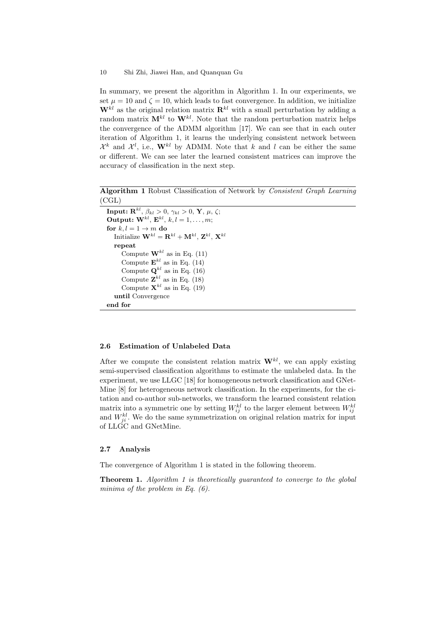In summary, we present the algorithm in Algorithm 1. In our experiments, we set  $\mu = 10$  and  $\zeta = 10$ , which leads to fast convergence. In addition, we initialize  $W^{kl}$  as the original relation matrix  $\mathbf{R}^{kl}$  with a small perturbation by adding a random matrix  $\mathbf{M}^{kl}$  to  $\mathbf{W}^{kl}$ . Note that the random perturbation matrix helps the convergence of the ADMM algorithm [17]. We can see that in each outer iteration of Algorithm 1, it learns the underlying consistent network between  $\mathcal{X}^k$  and  $\mathcal{X}^l$ , i.e.,  $\mathbf{W}^{kl}$  by ADMM. Note that k and l can be either the same or different. We can see later the learned consistent matrices can improve the accuracy of classification in the next step.

Algorithm 1 Robust Classification of Network by Consistent Graph Learning (CGL)

 $\textbf{Input: } \mathbf{R}^{kl}, \, \beta_{kl} > 0, \, \gamma_{kl} > 0, \, \mathbf{Y}, \, \mu, \, \zeta;$ Output:  $\mathbf{W}^{kl}$ ,  $\mathbf{E}^{kl}$ ,  $k, l = 1, \ldots, m;$ for  $k, l = 1 \rightarrow m$  do  $\text{Initialize } \mathbf{W}^{kl} = \mathbf{R}^{kl} + \mathbf{M}^{kl}, \, \mathbf{Z}^{kl}, \, \mathbf{X}^{kl}$ repeat Compute  $\mathbf{W}^{kl}$  as in Eq. (11) Compute  $\mathbf{E}^{kl}$  as in Eq. (14) Compute  $\mathbf{Q}^{kl}$  as in Eq. (16) Compute  $\mathbf{Z}^{kl}$  as in Eq. (18) Compute  $\mathbf{X}^{kl}$  as in Eq. (19) until Convergence end for

## 2.6 Estimation of Unlabeled Data

After we compute the consistent relation matrix  $W^{kl}$ , we can apply existing semi-supervised classification algorithms to estimate the unlabeled data. In the experiment, we use LLGC [18] for homogeneous network classification and GNet-Mine [8] for heterogeneous network classification. In the experiments, for the citation and co-author sub-networks, we transform the learned consistent relation matrix into a symmetric one by setting  $W_{ij}^{kl}$  to the larger element between  $W_{ij}^{kl}$ and  $W_{ji}^{kl}$ . We do the same symmetrization on original relation matrix for input of LLGC and GNetMine.

## 2.7 Analysis

The convergence of Algorithm 1 is stated in the following theorem.

**Theorem 1.** Algorithm 1 is theoretically guaranteed to converge to the global minima of the problem in Eq.  $(6)$ .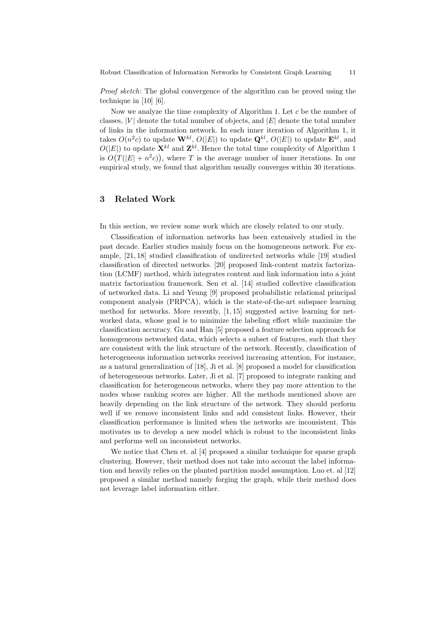Proof sketch: The global convergence of the algorithm can be proved using the technique in [10] [6].

Now we analyze the time complexity of Algorithm 1. Let  $c$  be the number of classes,  $|V|$  denote the total number of objects, and  $|E|$  denote the total number of links in the information network. In each inner iteration of Algorithm 1, it takes  $O(n^2c)$  to update  $\mathbf{W}^{kl}$ ,  $O(|E|)$  to update  $\mathbf{Q}^{kl}$ ,  $O(|E|)$  to update  $\mathbf{E}^{kl}$ , and  $O(|E|)$  to update  $\mathbf{X}^{kl}$  and  $\mathbf{Z}^{kl}$ . Hence the total time complexity of Algorithm 1 is  $O(T(|E| + n^2c))$ , where T is the average number of inner iterations. In our empirical study, we found that algorithm usually converges within 30 iterations.

# 3 Related Work

In this section, we review some work which are closely related to our study.

Classification of information networks has been extensively studied in the past decade. Earlier studies mainly focus on the homogeneous network. For example, [21, 18] studied classification of undirected networks while [19] studied classification of directed networks. [20] proposed link-content matrix factorization (LCMF) method, which integrates content and link information into a joint matrix factorization framework. Sen et al. [14] studied collective classification of networked data. Li and Yeung [9] proposed probabilistic relational principal component analysis (PRPCA), which is the state-of-the-art subspace learning method for networks. More recently, [1, 15] suggested active learning for networked data, whose goal is to minimize the labeling effort while maximize the classification accuracy. Gu and Han [5] proposed a feature selection approach for homogeneous networked data, which selects a subset of features, such that they are consistent with the link structure of the network. Recently, classification of heterogeneous information networks received increasing attention. For instance, as a natural generalization of [18], Ji et al. [8] proposed a model for classification of heterogeneous networks. Later, Ji et al. [7] proposed to integrate ranking and classification for heterogeneous networks, where they pay more attention to the nodes whose ranking scores are higher. All the methods mentioned above are heavily depending on the link structure of the network. They should perform well if we remove inconsistent links and add consistent links. However, their classification performance is limited when the networks are inconsistent. This motivates us to develop a new model which is robust to the inconsistent links and performs well on inconsistent networks.

We notice that Chen et. al [4] proposed a similar technique for sparse graph clustering. However, their method does not take into account the label information and heavily relies on the planted partition model assumption. Luo et. al [12] proposed a similar method namely forging the graph, while their method does not leverage label information either.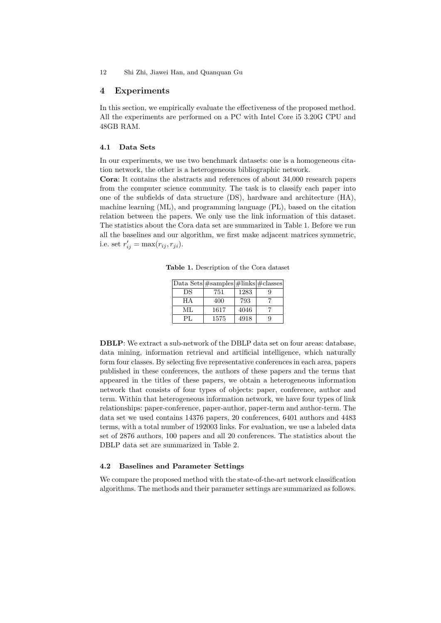### 4 Experiments

In this section, we empirically evaluate the effectiveness of the proposed method. All the experiments are performed on a PC with Intel Core i5 3.20G CPU and 48GB RAM.

## 4.1 Data Sets

In our experiments, we use two benchmark datasets: one is a homogeneous citation network, the other is a heterogeneous bibliographic network.

Cora: It contains the abstracts and references of about 34,000 research papers from the computer science community. The task is to classify each paper into one of the subfields of data structure (DS), hardware and architecture (HA), machine learning (ML), and programming language (PL), based on the citation relation between the papers. We only use the link information of this dataset. The statistics about the Cora data set are summarized in Table 1. Before we run all the baselines and our algorithm, we first make adjacent matrices symmetric, i.e. set  $r'_{ij} = \max(r_{ij}, r_{ji}).$ 

Table 1. Description of the Cora dataset

|     | Data Sets $\#samples   \#links   \#classes$ |      |   |
|-----|---------------------------------------------|------|---|
| DS  | 751                                         | 1283 | q |
| НA  | 400                                         | 793  |   |
| ML  | 1617                                        | 4046 |   |
| PЕ. | 1575                                        | 4918 | g |

DBLP: We extract a sub-network of the DBLP data set on four areas: database, data mining, information retrieval and artificial intelligence, which naturally form four classes. By selecting five representative conferences in each area, papers published in these conferences, the authors of these papers and the terms that appeared in the titles of these papers, we obtain a heterogeneous information network that consists of four types of objects: paper, conference, author and term. Within that heterogeneous information network, we have four types of link relationships: paper-conference, paper-author, paper-term and author-term. The data set we used contains 14376 papers, 20 conferences, 6401 authors and 4483 terms, with a total number of 192003 links. For evaluation, we use a labeled data set of 2876 authors, 100 papers and all 20 conferences. The statistics about the DBLP data set are summarized in Table 2.

# 4.2 Baselines and Parameter Settings

We compare the proposed method with the state-of-the-art network classification algorithms. The methods and their parameter settings are summarized as follows.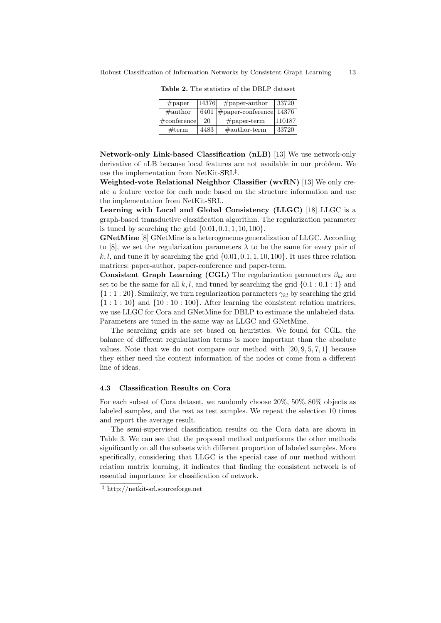| $#$ paper             | 14376 | $#$ paper-author            | 33720  |
|-----------------------|-------|-----------------------------|--------|
| $\#$ author           | 6401  | $\#$ paper-conference 14376 |        |
| $\#\text{conference}$ | 20    | $#$ paper-term              | 110187 |
| #term                 | 4483  | $\#$ author-term            | 33720  |

Table 2. The statistics of the DBLP dataset

Network-only Link-based Classification (nLB) [13] We use network-only derivative of nLB because local features are not available in our problem. We use the implementation from NetKit-SRL<sup>‡</sup>.

Weighted-vote Relational Neighbor Classifier (wvRN) [13] We only create a feature vector for each node based on the structure information and use the implementation from NetKit-SRL.

Learning with Local and Global Consistency (LLGC) [18] LLGC is a graph-based transductive classification algorithm. The regularization parameter is tuned by searching the grid  $\{0.01, 0.1, 1, 10, 100\}.$ 

GNetMine [8] GNetMine is a heterogeneous generalization of LLGC. According to [8], we set the regularization parameters  $\lambda$  to be the same for every pair of k, l, and tune it by searching the grid  $\{0.01, 0.1, 1, 10, 100\}$ . It uses three relation matrices: paper-author, paper-conference and paper-term.

Consistent Graph Learning (CGL) The regularization parameters  $\beta_{kl}$  are set to be the same for all  $k, l$ , and tuned by searching the grid  $\{0.1 : 0.1 : 1\}$  and  ${1 : 1 : 20}$ . Similarly, we turn regularization parameters  $\gamma_{kl}$  by searching the grid  ${1 : 1 : 10}$  and  ${10 : 10 : 100}$ . After learning the consistent relation matrices, we use LLGC for Cora and GNetMine for DBLP to estimate the unlabeled data. Parameters are tuned in the same way as LLGC and GNetMine.

The searching grids are set based on heuristics. We found for CGL, the balance of different regularization terms is more important than the absolute values. Note that we do not compare our method with  $[20, 9, 5, 7, 1]$  because they either need the content information of the nodes or come from a different line of ideas.

#### 4.3 Classification Results on Cora

For each subset of Cora dataset, we randomly choose 20%, 50%, 80% objects as labeled samples, and the rest as test samples. We repeat the selection 10 times and report the average result.

The semi-supervised classification results on the Cora data are shown in Table 3. We can see that the proposed method outperforms the other methods significantly on all the subsets with different proportion of labeled samples. More specifically, considering that LLGC is the special case of our method without relation matrix learning, it indicates that finding the consistent network is of essential importance for classification of network.

<sup>‡</sup> http://netkit-srl.sourceforge.net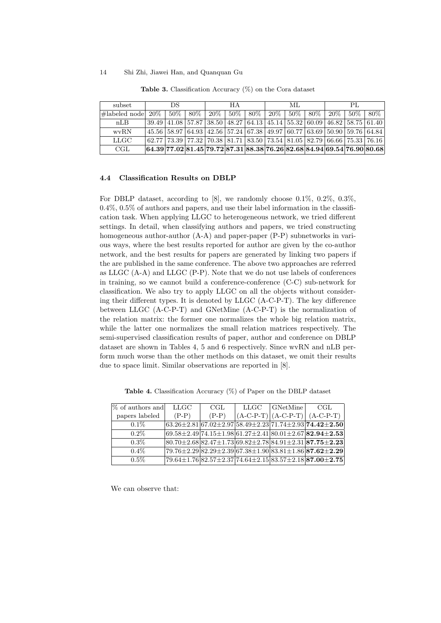| subset            | ÐS     |  | НA          |  | ML |                                         |  | PL. |  |                                                          |  |                                                                                                                                       |
|-------------------|--------|--|-------------|--|----|-----------------------------------------|--|-----|--|----------------------------------------------------------|--|---------------------------------------------------------------------------------------------------------------------------------------|
| $\#$ labeled node | $20\%$ |  | $50\%$ 80\% |  |    | $\mid$ 20% $\mid$ 50% $\mid$ 80% $\mid$ |  |     |  | $\mid 20\% \mid 50\% \mid 80\% \mid 20\% \mid 50\% \mid$ |  | $80\%$                                                                                                                                |
| nLB               |        |  |             |  |    |                                         |  |     |  |                                                          |  | $39.49 \mid 41.08 \mid 57.87 \mid 38.50 \mid 48.27 \mid 64.13 \mid 45.14 \mid 55.32 \mid 60.09 \mid 46.82 \mid 58.75 \mid 61.40 \mid$ |
| wvRN              |        |  |             |  |    |                                         |  |     |  |                                                          |  | 45.56 58.97 64.93 42.56 57.24 67.38 49.97 60.77 63.69 50.90 59.76 64.84                                                               |
| LLGC              |        |  |             |  |    |                                         |  |     |  |                                                          |  | $62.77$ 73.39 77.32 70.38 81.71 83.50 73.54 81.05 82.79 66.66 75.33 76.16                                                             |
| CGL               |        |  |             |  |    |                                         |  |     |  |                                                          |  | $64.3977.0281.4579.7287.3188.3876.2682.6884.9469.5476.9080.68$                                                                        |

Table 3. Classification Accuracy (%) on the Cora dataset

#### 4.4 Classification Results on DBLP

For DBLP dataset, according to [8], we randomly choose 0.1%, 0.2%, 0.3%,  $0.4\%$ ,  $0.5\%$  of authors and papers, and use their label information in the classification task. When applying LLGC to heterogeneous network, we tried different settings. In detail, when classifying authors and papers, we tried constructing homogeneous author-author (A-A) and paper-paper (P-P) subnetworks in various ways, where the best results reported for author are given by the co-author network, and the best results for papers are generated by linking two papers if the are published in the same conference. The above two approaches are referred as LLGC (A-A) and LLGC (P-P). Note that we do not use labels of conferences in training, so we cannot build a conference-conference (C-C) sub-network for classification. We also try to apply LLGC on all the objects without considering their different types. It is denoted by LLGC (A-C-P-T). The key difference between LLGC (A-C-P-T) and GNetMine (A-C-P-T) is the normalization of the relation matrix: the former one normalizes the whole big relation matrix, while the latter one normalizes the small relation matrices respectively. The semi-supervised classification results of paper, author and conference on DBLP dataset are shown in Tables 4, 5 and 6 respectively. Since wvRN and nLB perform much worse than the other methods on this dataset, we omit their results due to space limit. Similar observations are reported in [8].

| \% of authors and | LLGC    | CGL     | LLGC | $ $ GNetMine | CGL                                                                                  |
|-------------------|---------|---------|------|--------------|--------------------------------------------------------------------------------------|
| papers labeled    | $(P-P)$ | $(P-P)$ |      |              | $(A-C-P-T)   (A-C-P-T)   (A-C-P-T)$                                                  |
| $0.1\%$           |         |         |      |              | $63.26 \pm 2.8167.02 \pm 2.9758.49 \pm 2.2371.74 \pm 2.937$                          |
| $0.2\%$           |         |         |      |              | $69.58 \pm 2.49$ 74.15 $\pm$ 1.98 61.27 $\pm$ 2.41 80.01 $\pm$ 2.67 82.94 $\pm$ 2.53 |
| $0.3\%$           |         |         |      |              | $ 80.70 \pm 2.68 82.47 \pm 1.73 69.82 \pm 2.78 84.91 \pm 2.31 87.75 \pm 2.23 $       |
| $0.4\%$           |         |         |      |              | $[79.76 \pm 2.29] 82.29 \pm 2.39] 67.38 \pm 1.90] 83.81 \pm 1.86] 87.62 \pm 2.29$    |
| $0.5\%$           |         |         |      |              | $ 79.64 \pm 1.76 82.57 \pm 2.37 74.64 \pm 2.15 83.57 \pm 2.18 87.00 \pm 2.75 $       |

Table 4. Classification Accuracy (%) of Paper on the DBLP dataset

We can observe that: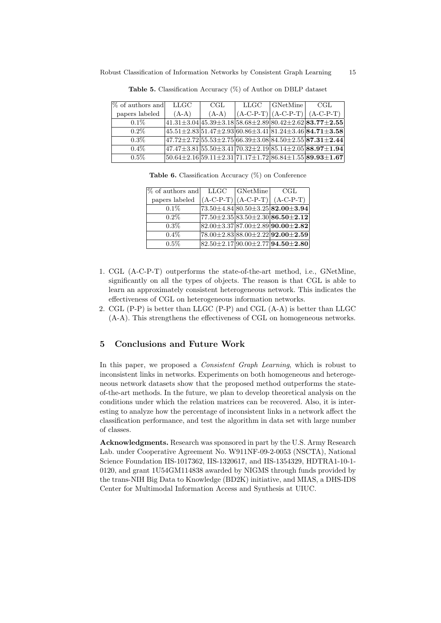| \% of authors and | LLGC    | CGL.    | LLGC | GNetMine | - CGL                                                                                                          |
|-------------------|---------|---------|------|----------|----------------------------------------------------------------------------------------------------------------|
| papers labeled    | $(A-A)$ | $(A-A)$ |      |          | $ (A-C-P-T)  (A-C-P-T)  (A-C-P-T)$                                                                             |
| $0.1\%$           |         |         |      |          | $ 41.31\pm3.04 45.39\pm3.18 58.68\pm2.89 80.42\pm2.62 83.77\pm2.55 $                                           |
| $0.2\%$           |         |         |      |          | $ 45.51 \pm 2.83 51.47 \pm 2.93 60.86 \pm 3.41 81.24 \pm 3.46 84.71 \pm 3.58 $                                 |
| $0.3\%$           |         |         |      |          | $\left 47.72 \pm 2.72\right 55.53 \pm 2.75\right 66.39 \pm 3.08\vert 84.50 \pm 2.55\vert {\bf 87.31 \pm 2.44}$ |
| $0.4\%$           |         |         |      |          | $ 47.47 \pm 3.81 55.50 \pm 3.41 70.32 \pm 2.19 85.14 \pm 2.05 88.97 \pm 1.94 $                                 |
| $0.5\%$           |         |         |      |          | $ 50.64 \pm 2.16 59.11 \pm 2.31 71.17 \pm 1.72 86.84 \pm 1.55 89.93 \pm 1.67 $                                 |

Table 5. Classification Accuracy (%) of Author on DBLP dataset

Table 6. Classification Accuracy (%) on Conference

| % of authors and | LLGC | GNetMine | CGL                                                  |
|------------------|------|----------|------------------------------------------------------|
| papers labeled   |      |          | $(A-C-P-T)   (A-C-P-T)   (A-C-P-T)$                  |
| $0.1\%$          |      |          | $73.50 \pm 4.84 \, 80.50 \pm 3.25 \, 82.00 \pm 3.94$ |
| $0.2\%$          |      |          | $ 77.50 \pm 2.35 83.50 \pm 2.30 86.50 \pm 2.12 $     |
| $0.3\%$          |      |          | $ 82.00 \pm 3.37 87.00 \pm 2.89 90.00 \pm 2.82 $     |
| $0.4\%$          |      |          | $78.00 \pm 2.83 \, 88.00 \pm 2.22 \, 92.00 \pm 2.59$ |
| $0.5\%$          |      |          | $82.50 \pm 2.17$ 90.00 $\pm 2.77$ 94.50 $\pm 2.80$   |

- 1. CGL (A-C-P-T) outperforms the state-of-the-art method, i.e., GNetMine, significantly on all the types of objects. The reason is that CGL is able to learn an approximately consistent heterogeneous network. This indicates the effectiveness of CGL on heterogeneous information networks.
- 2. CGL (P-P) is better than LLGC (P-P) and CGL (A-A) is better than LLGC (A-A). This strengthens the effectiveness of CGL on homogeneous networks.

# 5 Conclusions and Future Work

In this paper, we proposed a *Consistent Graph Learning*, which is robust to inconsistent links in networks. Experiments on both homogeneous and heterogeneous network datasets show that the proposed method outperforms the stateof-the-art methods. In the future, we plan to develop theoretical analysis on the conditions under which the relation matrices can be recovered. Also, it is interesting to analyze how the percentage of inconsistent links in a network affect the classification performance, and test the algorithm in data set with large number of classes.

Acknowledgments. Research was sponsored in part by the U.S. Army Research Lab. under Cooperative Agreement No. W911NF-09-2-0053 (NSCTA), National Science Foundation IIS-1017362, IIS-1320617, and IIS-1354329, HDTRA1-10-1- 0120, and grant 1U54GM114838 awarded by NIGMS through funds provided by the trans-NIH Big Data to Knowledge (BD2K) initiative, and MIAS, a DHS-IDS Center for Multimodal Information Access and Synthesis at UIUC.